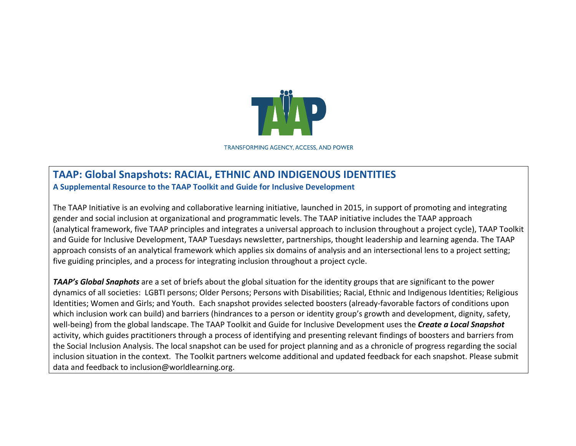

**TRANSFORMING AGENCY, ACCESS, AND POWER** 

## **TAAP: Global Snapshots: RACIAL, ETHNIC AND INDIGENOUS IDENTITIES** A Supplemental Resource to the TAAP Toolkit and Guide for Inclusive Development

The TAAP Initiative is an evolving and collaborative learning initiative, launched in 2015, in support of promoting and integrating gender and social inclusion at organizational and programmatic levels. The TAAP initiative includes the TAAP approach (analytical framework, five TAAP principles and integrates a universal approach to inclusion throughout a project cycle), TAAP Toolkit and Guide for Inclusive Development, TAAP Tuesdays newsletter, partnerships, thought leadership and learning agenda. The TAAP approach consists of an analytical framework which applies six domains of analysis and an intersectional lens to a project setting; five guiding principles, and a process for integrating inclusion throughout a project cycle.

**TAAP's Global Snaphots** are a set of briefs about the global situation for the identity groups that are significant to the power dynamics of all societies: LGBTI persons; Older Persons; Persons with Disabilities; Racial, Ethnic and Indigenous Identities; Religious Identities; Women and Girls; and Youth. Each snapshot provides selected boosters (already-favorable factors of conditions upon which inclusion work can build) and barriers (hindrances to a person or identity group's growth and development, dignity, safety, well-being) from the global landscape. The TAAP Toolkit and Guide for Inclusive Development uses the **Create a Local Snapshot** activity, which guides practitioners through a process of identifying and presenting relevant findings of boosters and barriers from the Social Inclusion Analysis. The local snapshot can be used for project planning and as a chronicle of progress regarding the social inclusion situation in the context. The Toolkit partners welcome additional and updated feedback for each snapshot. Please submit data and feedback to inclusion@worldlearning.org.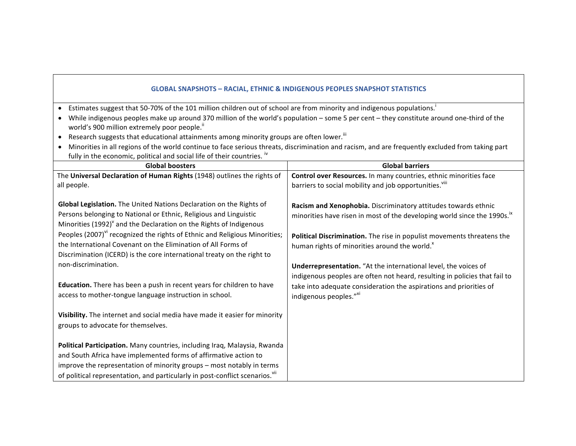## **GLOBAL SNAPSHOTS - RACIAL, ETHNIC & INDIGENOUS PEOPLES SNAPSHOT STATISTICS**

- Estimates suggest that 50-70% of the 101 million children out of school are from minority and indigenous populations.<sup>1</sup>
- While indigenous peoples make up around 370 million of the world's population some 5 per cent they constitute around one-third of the world's 900 million extremely poor people.<sup>ii</sup>
- Research suggests that educational attainments among minority groups are often lower.<sup>iii</sup>
- Minorities in all regions of the world continue to face serious threats, discrimination and racism, and are frequently excluded from taking part fully in the economic, political and social life of their countries. iv

| <b>Global boosters</b>                                                                                                                                                                                                                                                                                                                                                                | <b>Global barriers</b>                                                                                                                                                                                                                                                                        |
|---------------------------------------------------------------------------------------------------------------------------------------------------------------------------------------------------------------------------------------------------------------------------------------------------------------------------------------------------------------------------------------|-----------------------------------------------------------------------------------------------------------------------------------------------------------------------------------------------------------------------------------------------------------------------------------------------|
| The Universal Declaration of Human Rights (1948) outlines the rights of                                                                                                                                                                                                                                                                                                               | Control over Resources. In many countries, ethnic minorities face                                                                                                                                                                                                                             |
| all people.                                                                                                                                                                                                                                                                                                                                                                           | barriers to social mobility and job opportunities. <sup>Viii</sup>                                                                                                                                                                                                                            |
| Global Legislation. The United Nations Declaration on the Rights of<br>Persons belonging to National or Ethnic, Religious and Linguistic<br>Minorities (1992) <sup>V</sup> and the Declaration on the Rights of Indigenous<br>Peoples (2007) <sup>vi</sup> recognized the rights of Ethnic and Religious Minorities;<br>the International Covenant on the Elimination of All Forms of | Racism and Xenophobia. Discriminatory attitudes towards ethnic<br>minorities have risen in most of the developing world since the 1990s. <sup>ix</sup><br>Political Discrimination. The rise in populist movements threatens the<br>human rights of minorities around the world. <sup>x</sup> |
| Discrimination (ICERD) is the core international treaty on the right to                                                                                                                                                                                                                                                                                                               |                                                                                                                                                                                                                                                                                               |
| non-discrimination.                                                                                                                                                                                                                                                                                                                                                                   | Underrepresentation. "At the international level, the voices of                                                                                                                                                                                                                               |
| <b>Education.</b> There has been a push in recent years for children to have<br>access to mother-tongue language instruction in school.                                                                                                                                                                                                                                               | indigenous peoples are often not heard, resulting in policies that fail to<br>take into adequate consideration the aspirations and priorities of<br>indigenous peoples."XI                                                                                                                    |
| Visibility. The internet and social media have made it easier for minority<br>groups to advocate for themselves.                                                                                                                                                                                                                                                                      |                                                                                                                                                                                                                                                                                               |
| Political Participation. Many countries, including Iraq, Malaysia, Rwanda<br>and South Africa have implemented forms of affirmative action to<br>improve the representation of minority groups - most notably in terms<br>of political representation, and particularly in post-conflict scenarios. <sup>Vii</sup>                                                                    |                                                                                                                                                                                                                                                                                               |